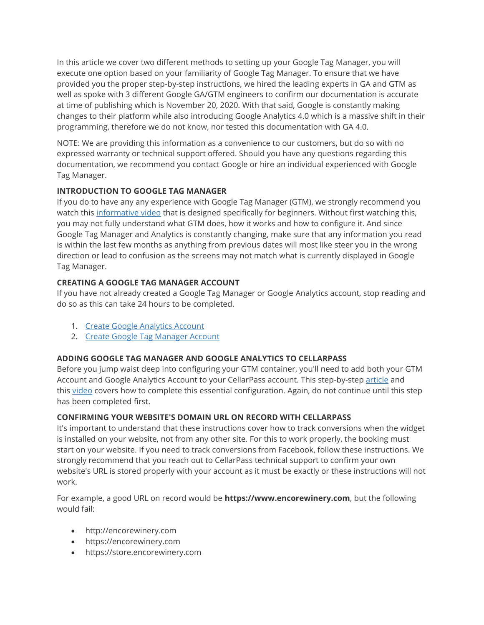In this article we cover two different methods to setting up your Google Tag Manager, you will execute one option based on your familiarity of Google Tag Manager. To ensure that we have provided you the proper step-by-step instructions, we hired the leading experts in GA and GTM as well as spoke with 3 different Google GA/GTM engineers to confirm our documentation is accurate at time of publishing which is November 20, 2020. With that said, Google is constantly making changes to their platform while also introducing Google Analytics 4.0 which is a massive shift in their programming, therefore we do not know, nor tested this documentation with GA 4.0.

NOTE: We are providing this information as a convenience to our customers, but do so with no expressed warranty or technical support offered. Should you have any questions regarding this documentation, we recommend you contact Google or hire an individual experienced with Google Tag Manager.

### **INTRODUCTION TO GOOGLE TAG MANAGER**

If you do to have any any experience with Google Tag Manager (GTM), we strongly recommend you watch this [informative video](https://www.analyticsmania.com/post/google-tag-manager-tutorial-for-beginners/) that is designed specifically for beginners. Without first watching this, you may not fully understand what GTM does, how it works and how to configure it. And since Google Tag Manager and Analytics is constantly changing, make sure that any information you read is within the last few months as anything from previous dates will most like steer you in the wrong direction or lead to confusion as the screens may not match what is currently displayed in Google Tag Manager.

### **CREATING A GOOGLE TAG MANAGER ACCOUNT**

If you have not already created a Google Tag Manager or Google Analytics account, stop reading and do so as this can take 24 hours to be completed.

- 1. [Create Google Analytics Account](https://marketingplatform.google.com/about/analytics/)
- 2. [Create Google Tag Manager Account](https://marketingplatform.google.com/about/tag-manager/)

#### **ADDING GOOGLE TAG MANAGER AND GOOGLE ANALYTICS TO CELLARPASS**

Before you jump waist deep into configuring your GTM container, you'll need to add both your GTM Account and Google Analytics Account to your CellarPass account. This step-by-step [article](https://admin.cellarpass.com/admin/help_center_article.aspx?id=100) and this [video](https://admin.cellarpass.com/admin/help_center_article.aspx?id=485) covers how to complete this essential configuration. Again, do not continue until this step has been completed first.

#### **CONFIRMING YOUR WEBSITE'S DOMAIN URL ON RECORD WITH CELLARPASS**

It's important to understand that these instructions cover how to track conversions when the widget is installed on your website, not from any other site. For this to work properly, the booking must start on your website. If you need to track conversions from Facebook, follow these instructions. We strongly recommend that you reach out to CellarPass technical support to confirm your own website's URL is stored properly with your account as it must be exactly or these instructions will not work.

For example, a good URL on record would be **https://www.encorewinery.com**, but the following would fail:

- http://encorewinery.com
- https://encorewinery.com
- https://store.encorewinery.com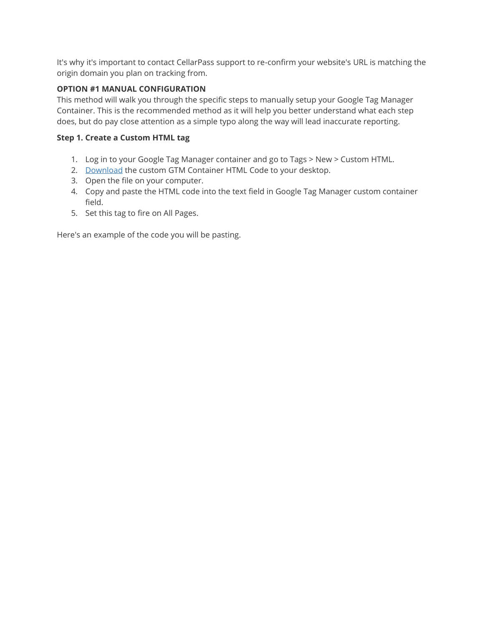It's why it's important to contact CellarPass support to re-confirm your website's URL is matching the origin domain you plan on tracking from.

#### **OPTION #1 MANUAL CONFIGURATION**

This method will walk you through the specific steps to manually setup your Google Tag Manager Container. This is the recommended method as it will help you better understand what each step does, but do pay close attention as a simple typo along the way will lead inaccurate reporting.

#### **Step 1. Create a Custom HTML tag**

- 1. Log in to your Google Tag Manager container and go to Tags > New > Custom HTML.
- 2. [Download](https://cdn.cellarpass.com/admin/kb_help_files/cellarpass-gtm-script-01-112020-.txt) the custom GTM Container HTML Code to your desktop.
- 3. Open the file on your computer.
- 4. Copy and paste the HTML code into the text field in Google Tag Manager custom container field.
- 5. Set this tag to fire on All Pages.

Here's an example of the code you will be pasting.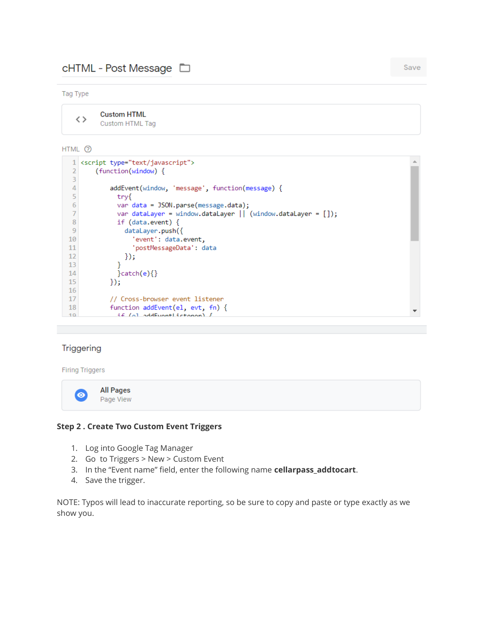## cHTML - Post Message □

#### Tag Type

**Custom HTML**  $\langle \rangle$ **Custom HTML Tag** 

#### HTML 2

```
1 <script type="text/javascript">
 \overline{2}(function(window) {
 3
 \overline{4}addEvent(window, 'message', function(message) {
 \overline{5}try{
 6
               var data = JSON.parse(message.data);
 \overline{7}var dataLayer = window.dataLayer || (window.dataLayer = []);
 \mathbf{8}if (data.event) {
 9dataLayer.push({
10'event': data.event,
11'postMessageData': data
12
                 \};
               Y
1314
               }catch(e){}
15
             \};
16
17
             // Cross-browser event listener
18
             function addEvent(el, evt, fn) {
               f \in \{0\} addEvantListonan) f10<sub>o</sub>
```
#### Triggering

#### **Firing Triggers**

**All Pages**  $\bullet$ Page View

#### **Step 2 . Create Two Custom Event Triggers**

- 1. Log into Google Tag Manager
- 2. Go to Triggers > New > Custom Event
- 3. In the "Event name" field, enter the following name **cellarpass\_addtocart**.
- 4. Save the trigger.

NOTE: Typos will lead to inaccurate reporting, so be sure to copy and paste or type exactly as we show you.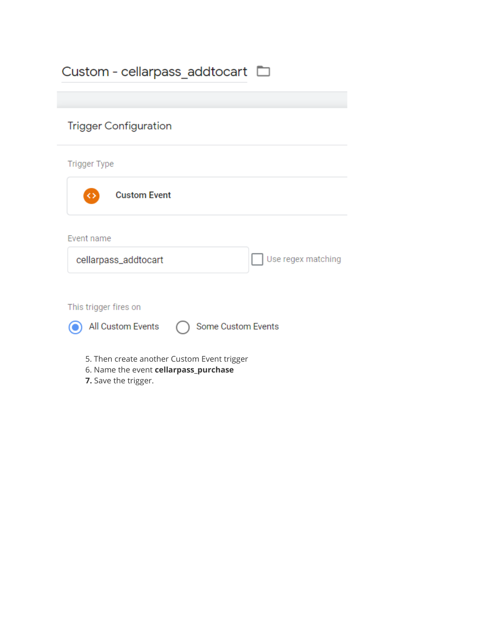| Custom - cellarpass addtocart $\square$                                                                      |
|--------------------------------------------------------------------------------------------------------------|
|                                                                                                              |
| <b>Trigger Configuration</b>                                                                                 |
| <b>Trigger Type</b>                                                                                          |
| <b>Custom Event</b>                                                                                          |
| Event name                                                                                                   |
| Use regex matching<br>cellarpass_addtocart                                                                   |
|                                                                                                              |
| This trigger fires on                                                                                        |
| All Custom Events<br>Some Custom Events                                                                      |
| 5. Then create another Custom Event trigger<br>6. Name the event cellarpass_purchase<br>7. Save the trigger. |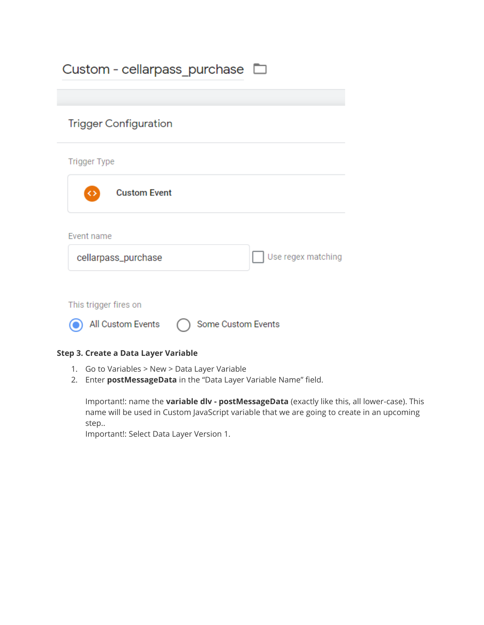| Custom - cellarpass purchase $\square$ |                    |
|----------------------------------------|--------------------|
| <b>Trigger Configuration</b>           |                    |
| <b>Trigger Type</b>                    |                    |
| <b>Custom Event</b><br>◇               |                    |
| Event name                             |                    |
| cellarpass_purchase                    | Use regex matching |
| This trigger fires on                  |                    |
| All Custom Events                      | Some Custom Events |

### **Step 3. Create a Data Layer Variable**

- 1. Go to Variables > New > Data Layer Variable
- 2. Enter **postMessageData** in the "Data Layer Variable Name" field.

Important!: name the **variable dlv - postMessageData** (exactly like this, all lower-case). This name will be used in Custom JavaScript variable that we are going to create in an upcoming step..

Important!: Select Data Layer Version 1.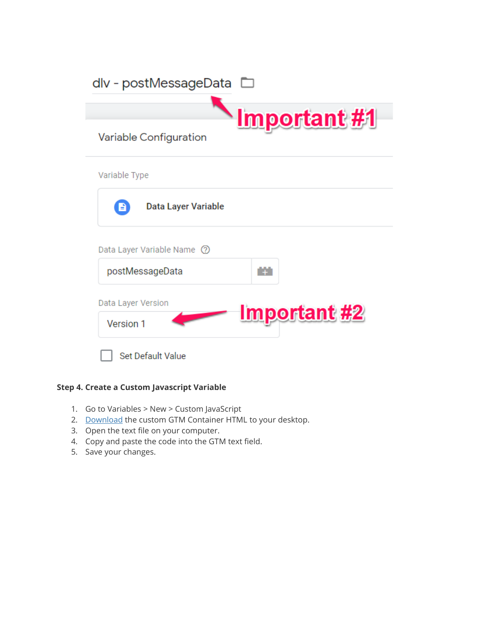| dlv - postMessageData                     |
|-------------------------------------------|
| <b>Important #1</b>                       |
| Variable Configuration                    |
| Variable Type                             |
| Data Layer Variable<br>B                  |
| Data Layer Variable Name (?)              |
| m<br>postMessageData                      |
| Data Layer Version<br><b>Important #2</b> |
| Version 1                                 |
| <b>Set Default Value</b>                  |

## **Step 4. Create a Custom Javascript Variable**

- 1. Go to Variables > New > Custom JavaScript
- 2. [Download](https://cdn.cellarpass.com/admin/kb_help_files/cellarpass-gtm-script-02-112020-.txt) the custom GTM Container HTML to your desktop.
- 3. Open the text file on your computer.
- 4. Copy and paste the code into the GTM text field.
- 5. Save your changes.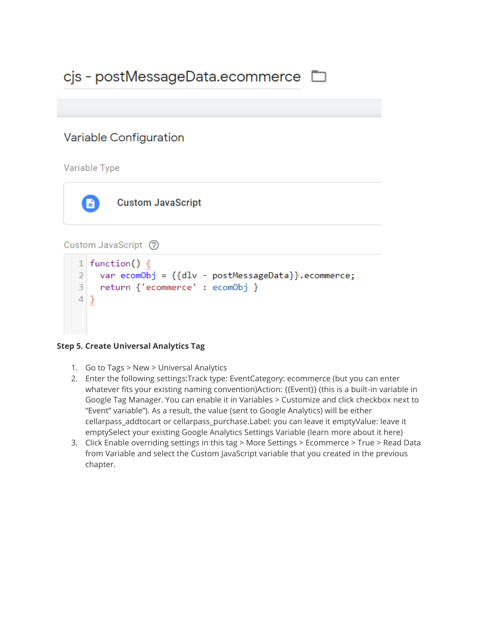# cjs - postMessageData.ecommerce D

## Variable Configuration

## Variable Type



**Custom JavaScript** 

## Custom JavaScript (?)

```
1 function() {
\overline{2}var ecomObj = {dlv - postMessageData}.ecommerce;return {'ecommerce' : ecomObj }
3
4 }
```
## **Step 5. Create Universal Analytics Tag**

- 1. Go to Tags > New > Universal Analytics
- 2. Enter the following settings:Track type: EventCategory: ecommerce (but you can enter whatever fits your existing naming convention)Action: {{Event}} (this is a built-in variable in Google Tag Manager. You can enable it in Variables > Customize and click checkbox next to "Event" variable"). As a result, the value (sent to Google Analytics) will be either cellarpass\_addtocart or cellarpass\_purchase.Label: you can leave it emptyValue: leave it emptySelect your existing Google Analytics Settings Variable (learn more about it here)
- 3. Click Enable overriding settings in this tag > More Settings > Ecommerce > True > Read Data from Variable and select the Custom JavaScript variable that you created in the previous chapter.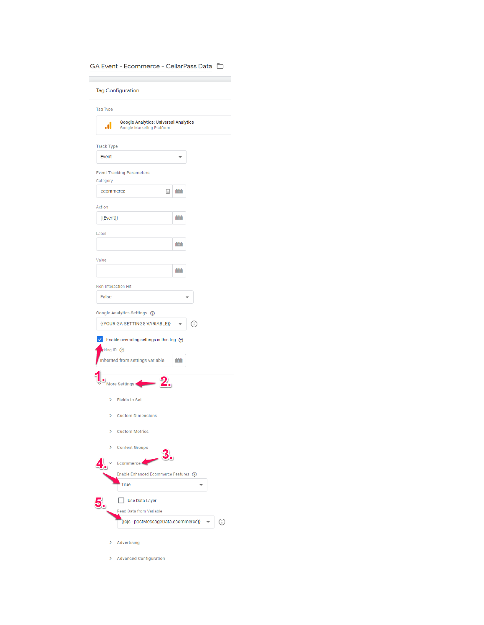GA Event - Ecommerce - CellarPass Data  $\Box$ 

**Tag Configuration** 

| Tag Type                                                                                                   |        |
|------------------------------------------------------------------------------------------------------------|--------|
| <b>Google Analytics: Universal Analytics</b><br>.ıl<br>Google Marketing Platform                           |        |
| <b>Track Type</b>                                                                                          |        |
| Event                                                                                                      |        |
| <b>Event Tracking Parameters</b>                                                                           |        |
| Category                                                                                                   |        |
| ecommerce                                                                                                  | 固<br>m |
| Action                                                                                                     |        |
| {{Event}}                                                                                                  | m      |
| Label                                                                                                      |        |
|                                                                                                            | m      |
| Value                                                                                                      |        |
|                                                                                                            | m      |
| Non-Interaction Hit                                                                                        |        |
| False                                                                                                      |        |
| $\checkmark$<br>Enable overriding settings in this tag @<br>tking ID ⑦<br>Inherited from settings variable | m      |
| 2.<br><b>More Settings</b>                                                                                 |        |
| <b>Fields to Set</b><br>⋋                                                                                  |        |
| <b>Custom Dimensions</b><br>⋟                                                                              |        |
| <b>Custom Metrics</b><br>⋋                                                                                 |        |
| ⋋<br><b>Content Groups</b>                                                                                 | 2      |
| Ecommerce <sup>+</sup>                                                                                     | д      |
| Enable Enhanced Ecommerce Features ②                                                                       |        |
| <b>True</b>                                                                                                |        |
| Use Data Layer                                                                                             |        |
| Read Data from Variable                                                                                    |        |
| {{cjs - postMessageData.ecommerce}}                                                                        | ï      |
| Advertising<br>⋟                                                                                           |        |

> Advanced Configuration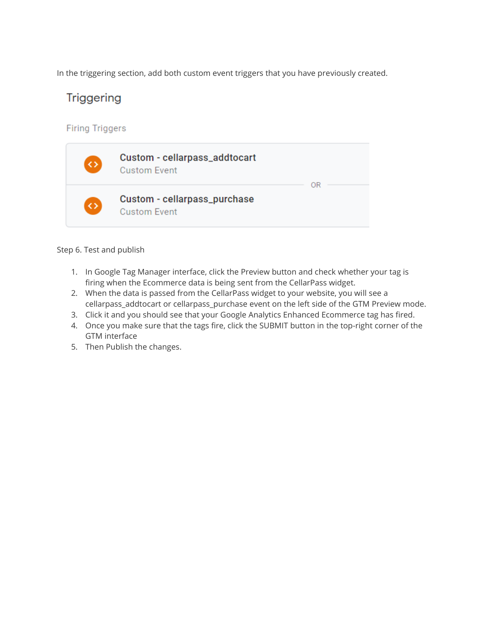In the triggering section, add both custom event triggers that you have previously created.

# **Triggering**

**Firing Triggers** 



Step 6. Test and publish

- 1. In Google Tag Manager interface, click the Preview button and check whether your tag is firing when the Ecommerce data is being sent from the CellarPass widget.
- 2. When the data is passed from the CellarPass widget to your website, you will see a cellarpass\_addtocart or cellarpass\_purchase event on the left side of the GTM Preview mode.
- 3. Click it and you should see that your Google Analytics Enhanced Ecommerce tag has fired.
- 4. Once you make sure that the tags fire, click the SUBMIT button in the top-right corner of the GTM interface
- 5. Then Publish the changes.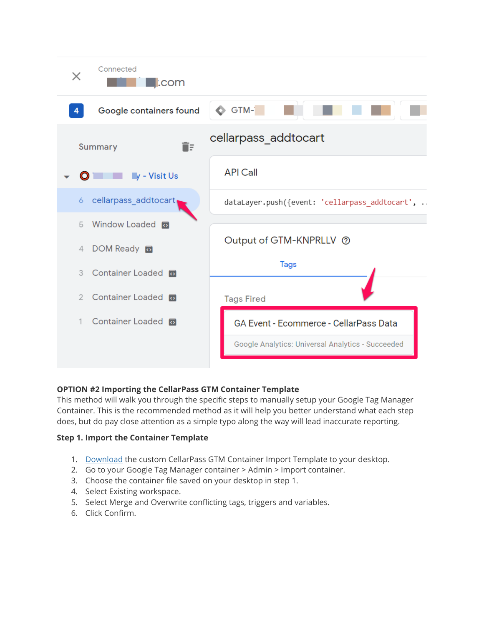

## **OPTION #2 Importing the CellarPass GTM Container Template**

This method will walk you through the specific steps to manually setup your Google Tag Manager Container. This is the recommended method as it will help you better understand what each step does, but do pay close attention as a simple typo along the way will lead inaccurate reporting.

#### **Step 1. Import the Container Template**

- 1. [Download](https://cdn.cellarpass.com/admin/kb_help_files/cellarpass-gtm-container-example-112020-.txt) the custom CellarPass GTM Container Import Template to your desktop.
- 2. Go to your Google Tag Manager container > Admin > Import container.
- 3. Choose the container file saved on your desktop in step 1.
- 4. Select Existing workspace.
- 5. Select Merge and Overwrite conflicting tags, triggers and variables.
- 6. Click Confirm.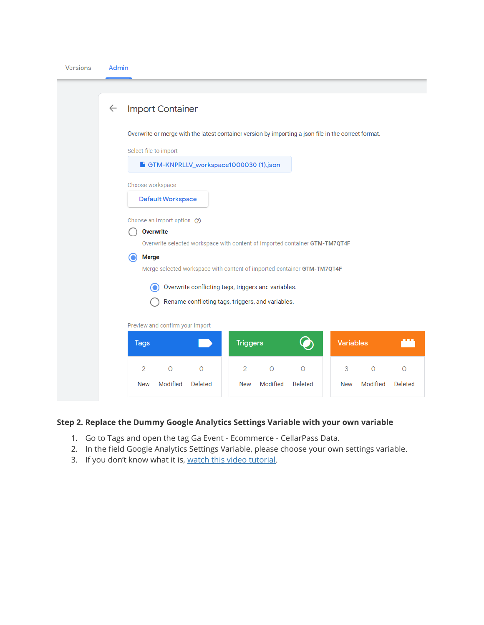| <b>Versions</b> | Admin |
|-----------------|-------|

| $\leftarrow$ | <b>Import Container</b>                                                                                       |  |
|--------------|---------------------------------------------------------------------------------------------------------------|--|
|              | Overwrite or merge with the latest container version by importing a json file in the correct format.          |  |
|              | Select file to import                                                                                         |  |
|              | GTM-KNPRLLV_workspace1000030 (1).json                                                                         |  |
|              | Choose workspace                                                                                              |  |
|              | <b>Default Workspace</b>                                                                                      |  |
|              | Choose an import option ⑦<br><b>Overwrite</b>                                                                 |  |
|              | Overwrite selected workspace with content of imported container GTM-TM7QT4F                                   |  |
|              | <b>Merge</b><br>$\bf O$<br>Merge selected workspace with content of imported container GTM-TM7QT4F            |  |
|              | Overwrite conflicting tags, triggers and variables.<br>O<br>Rename conflicting tags, triggers, and variables. |  |
|              | Preview and confirm your import                                                                               |  |
|              | <b>Variables</b><br><b>Triggers</b><br>$\mathbf O$<br><b>Tags</b>                                             |  |
|              | $\overline{2}$<br>$\circ$<br>$\circ$<br>$\circ$<br>$\circ$<br>2<br>$\circ$<br>3<br>$\circ$                    |  |
|              | Modified<br><b>Deleted</b><br>Modified<br><b>Deleted</b><br>Modified<br>Deleted<br><b>New</b><br>New<br>New   |  |
|              |                                                                                                               |  |

## **Step 2. Replace the Dummy Google Analytics Settings Variable with your own variable**

- 1. Go to Tags and open the tag Ga Event Ecommerce CellarPass Data.
- 2. In the field Google Analytics Settings Variable, please choose your own settings variable.
- 3. If you don't know what it is, [watch this video tutorial.](https://www.youtube.com/watch?v=mJos0AQiTAE)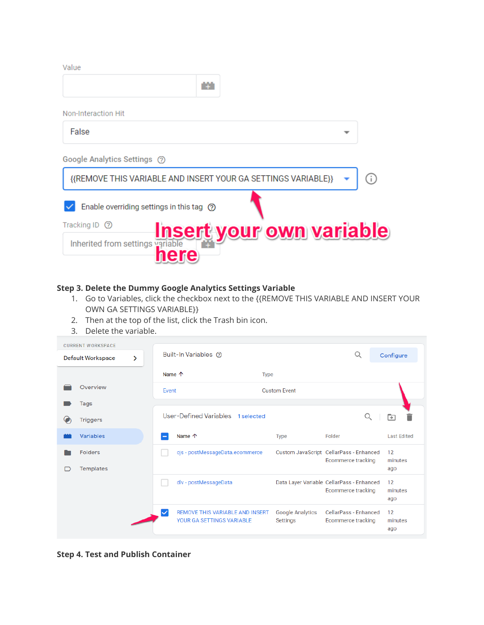Value m Non-Interaction Hit False Google Analytics Settings (?) {{REMOVE THIS VARIABLE AND INSERT YOUR GA SETTINGS VARIABLE}} ⋒  $\vee$  Enable overriding settings in this tag  $\circledcirc$ Tracking ID 2 <u>your own variable</u> Inherited from settings

#### **Step 3. Delete the Dummy Google Analytics Settings Variable**

- 1. Go to Variables, click the checkbox next to the {{REMOVE THIS VARIABLE AND INSERT YOUR OWN GA SETTINGS VARIABLE}}
- 2. Then at the top of the list, click the Trash bin icon.
- 3. Delete the variable.

| <b>CURRENT WORKSPACE</b><br><b>Default Workspace</b> | ⋟ |                 | Built-In Variables (?)                                              |                                     | Ο                                                                      | Configure            |
|------------------------------------------------------|---|-----------------|---------------------------------------------------------------------|-------------------------------------|------------------------------------------------------------------------|----------------------|
|                                                      |   | Name $\uparrow$ |                                                                     | <b>Type</b>                         |                                                                        |                      |
| Overview                                             |   | Event           |                                                                     | <b>Custom Event</b>                 |                                                                        |                      |
| <b>Tags</b>                                          |   |                 |                                                                     |                                     |                                                                        |                      |
| <b>Triggers</b>                                      |   |                 | User-Defined Variables<br>1 selected                                |                                     | Q                                                                      | ு                    |
| <b>Variables</b>                                     |   |                 | Name $\uparrow$                                                     | <b>Type</b>                         | Folder                                                                 | <b>Last Edited</b>   |
| <b>Folders</b><br><b>Templates</b>                   |   |                 | cjs - postMessageData.ecommerce                                     |                                     | Custom JavaScript CellarPass - Enhanced<br>Ecommerce tracking          | 12<br>minutes<br>ago |
|                                                      |   |                 | dlv - postMessageData                                               |                                     | Data Layer Variable CellarPass - Enhanced<br><b>Ecommerce tracking</b> | 12<br>minutes<br>ago |
|                                                      |   |                 | <b>REMOVE THIS VARIABLE AND INSERT</b><br>YOUR GA SETTINGS VARIABLE | <b>Google Analytics</b><br>Settings | CellarPass - Enhanced<br><b>Ecommerce tracking</b>                     | 12<br>minutes<br>ago |

**Step 4. Test and Publish Container**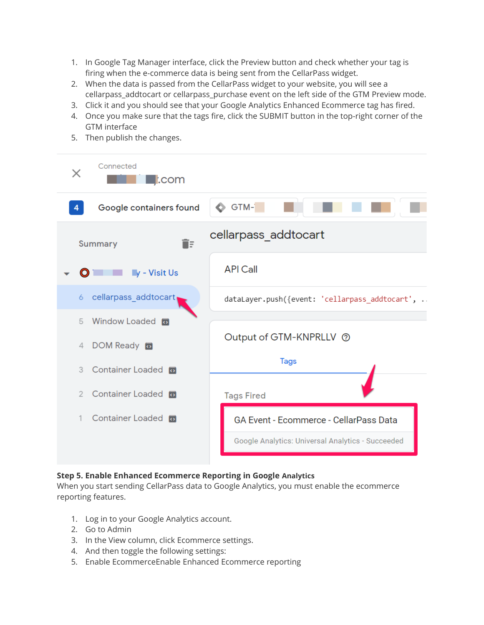- 1. In Google Tag Manager interface, click the Preview button and check whether your tag is firing when the e-commerce data is being sent from the CellarPass widget.
- 2. When the data is passed from the CellarPass widget to your website, you will see a cellarpass\_addtocart or cellarpass\_purchase event on the left side of the GTM Preview mode.
- 3. Click it and you should see that your Google Analytics Enhanced Ecommerce tag has fired.
- 4. Once you make sure that the tags fire, click the SUBMIT button in the top-right corner of the GTM interface
- Connected X  $\blacksquare$ :com  $\bullet$  GTM- $\Box$  $\overline{4}$ Google containers found cellarpass addtocart **Summary** îΞ **API Call**  $\blacksquare$ y - Visit Us cellarpass addtocart 6 dataLayer.push({event: 'cellarpass\_addtocart', .. Window Loaded 5 Output of GTM-KNPRLLV 2 DOM Ready **同**  $\Delta$ **Tags** 3 Container Loaded To 2 Container Loaded **Tags Fired** 1 Container Loaded GA Event - Ecommerce - CellarPass Data Google Analytics: Universal Analytics - Succeeded
- 5. Then publish the changes.

#### **Step 5. Enable Enhanced Ecommerce Reporting in Google Analytics**

When you start sending CellarPass data to Google Analytics, you must enable the ecommerce reporting features.

- 1. Log in to your Google Analytics account.
- 2. Go to Admin
- 3. In the View column, click Ecommerce settings.
- 4. And then toggle the following settings:
- 5. Enable EcommerceEnable Enhanced Ecommerce reporting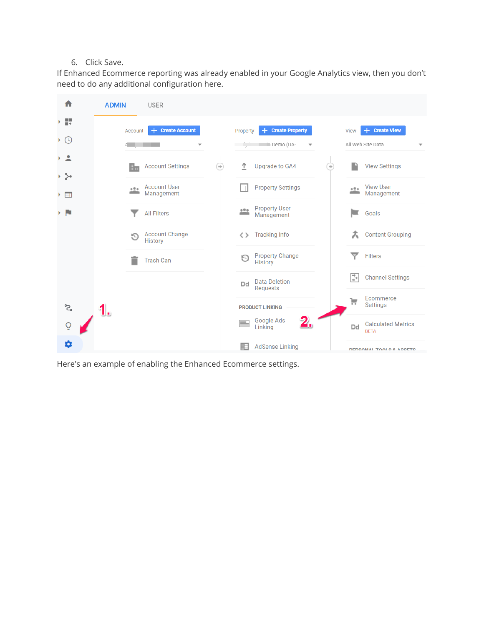#### 6. Click Save.

If Enhanced Ecommerce reporting was already enabled in your Google Analytics view, then you don't need to do any additional configuration here.



Here's an example of enabling the Enhanced Ecommerce settings.